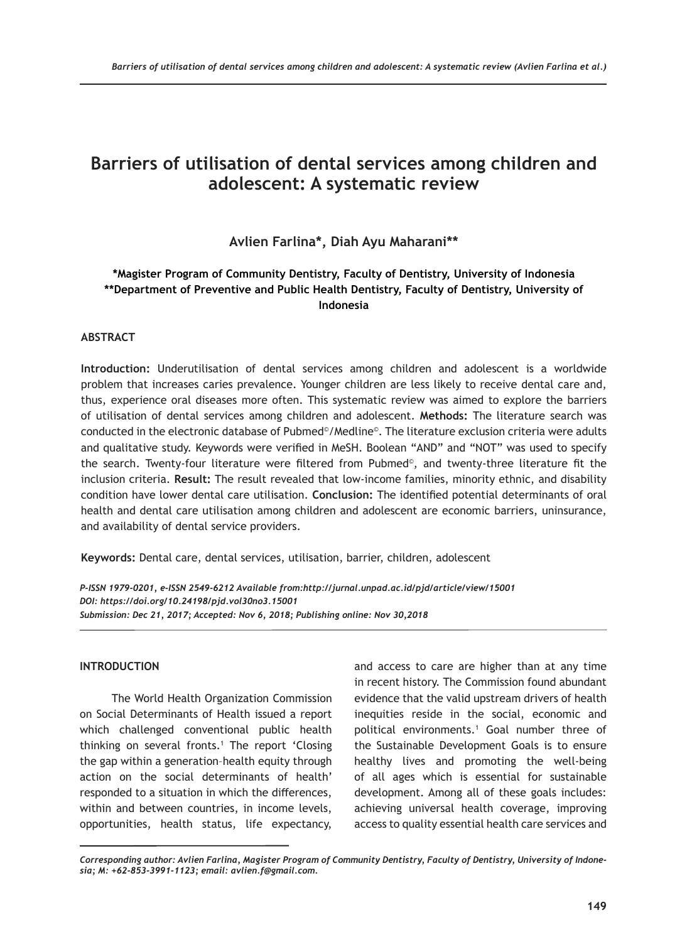# **Barriers of utilisation of dental services among children and adolescent: A systematic review**

# **Avlien Farlina\*, Diah Ayu Maharani\*\***

# **\*Magister Program of Community Dentistry, Faculty of Dentistry, University of Indonesia \*\*Department of Preventive and Public Health Dentistry, Faculty of Dentistry, University of Indonesia**

# **ABSTRACT**

**Introduction:** Underutilisation of dental services among children and adolescent is a worldwide problem that increases caries prevalence. Younger children are less likely to receive dental care and, thus, experience oral diseases more often. This systematic review was aimed to explore the barriers of utilisation of dental services among children and adolescent. **Methods:** The literature search was conducted in the electronic database of Pubmed©/Medline®. The literature exclusion criteria were adults and qualitative study. Keywords were verified in MeSH. Boolean "AND" and "NOT" was used to specify the search. Twenty-four literature were filtered from Pubmed©, and twenty-three literature fit the inclusion criteria. **Result:** The result revealed that low-income families, minority ethnic, and disability condition have lower dental care utilisation. **Conclusion:** The identified potential determinants of oral health and dental care utilisation among children and adolescent are economic barriers, uninsurance, and availability of dental service providers.

**Keywords:** Dental care, dental services, utilisation, barrier, children, adolescent

*P-ISSN 1979-0201, e-ISSN 2549-6212 Available from:http://jurnal.unpad.ac.id/pjd/article/view/15001 DOI: https://doi.org/10.24198/pjd.vol30no3.15001 Submission: Dec 21, 2017; Accepted: Nov 6, 2018; Publishing online: Nov 30,2018* 

# **INTRODUCTION**

The World Health Organization Commission on Social Determinants of Health issued a report which challenged conventional public health thinking on several fronts.1 The report 'Closing the gap within a generation–health equity through action on the social determinants of health' responded to a situation in which the differences, within and between countries, in income levels, opportunities, health status, life expectancy,

and access to care are higher than at any time in recent history. The Commission found abundant evidence that the valid upstream drivers of health inequities reside in the social, economic and political environments.1 Goal number three of the Sustainable Development Goals is to ensure healthy lives and promoting the well-being of all ages which is essential for sustainable development. Among all of these goals includes: achieving universal health coverage, improving access to quality essential health care services and

*Corresponding author: Avlien Farlina, Magister Program of Community Dentistry, Faculty of Dentistry, University of Indonesia; M: +62-853-3991-1123; email: avlien.f@gmail.com.*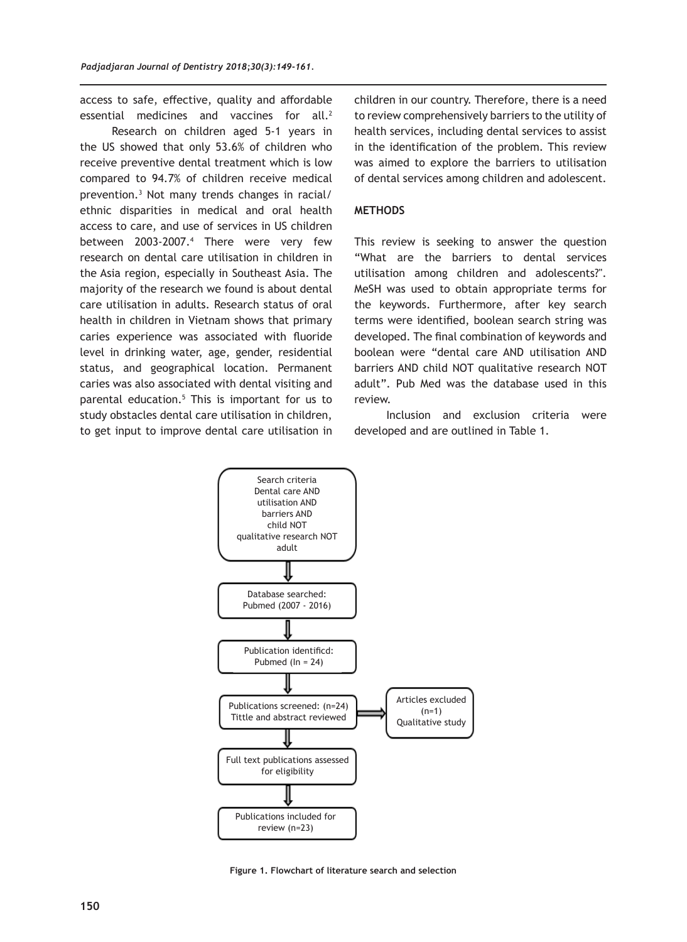access to safe, effective, quality and affordable essential medicines and vaccines for all.<sup>2</sup>

Research on children aged 5-1 years in the US showed that only 53.6% of children who receive preventive dental treatment which is low compared to 94.7% of children receive medical prevention.<sup>3</sup> Not many trends changes in racial/ ethnic disparities in medical and oral health access to care, and use of services in US children between 2003-2007.<sup>4</sup> There were very few research on dental care utilisation in children in the Asia region, especially in Southeast Asia. The majority of the research we found is about dental care utilisation in adults. Research status of oral health in children in Vietnam shows that primary caries experience was associated with fluoride level in drinking water, age, gender, residential status, and geographical location. Permanent caries was also associated with dental visiting and parental education.5 This is important for us to study obstacles dental care utilisation in children, to get input to improve dental care utilisation in children in our country. Therefore, there is a need to review comprehensively barriers to the utility of health services, including dental services to assist in the identification of the problem. This review was aimed to explore the barriers to utilisation of dental services among children and adolescent.

### **METHODS**

This review is seeking to answer the question "What are the barriers to dental services utilisation among children and adolescents?". MeSH was used to obtain appropriate terms for the keywords. Furthermore, after key search terms were identified, boolean search string was developed. The final combination of keywords and boolean were "dental care AND utilisation AND barriers AND child NOT qualitative research NOT adult". Pub Med was the database used in this review.

Inclusion and exclusion criteria were developed and are outlined in Table 1.



**Figure 1. Flowchart of literature search and selection**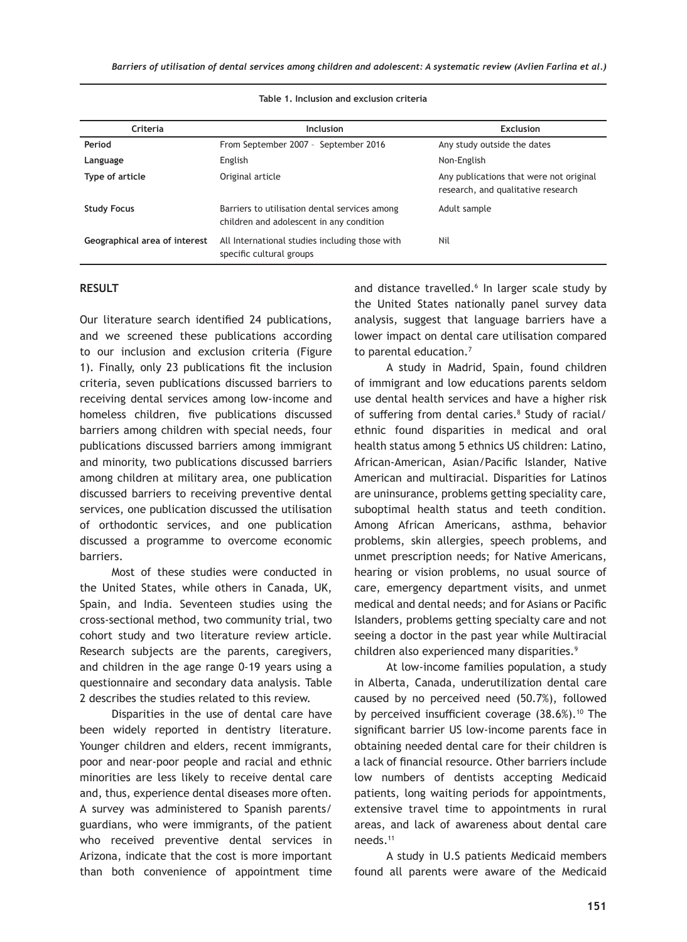| Criteria                      | Inclusion                                                                                 | <b>Exclusion</b>                                                              |
|-------------------------------|-------------------------------------------------------------------------------------------|-------------------------------------------------------------------------------|
| Period                        | From September 2007 - September 2016                                                      | Any study outside the dates                                                   |
| Language                      | English                                                                                   | Non-English                                                                   |
| Type of article               | Original article                                                                          | Any publications that were not original<br>research, and qualitative research |
| <b>Study Focus</b>            | Barriers to utilisation dental services among<br>children and adolescent in any condition | Adult sample                                                                  |
| Geographical area of interest | All International studies including those with<br>specific cultural groups                | Nil                                                                           |

#### **Table 1. Inclusion and exclusion criteria**

### **RESULT**

Our literature search identified 24 publications, and we screened these publications according to our inclusion and exclusion criteria (Figure 1). Finally, only 23 publications fit the inclusion criteria, seven publications discussed barriers to receiving dental services among low-income and homeless children, five publications discussed barriers among children with special needs, four publications discussed barriers among immigrant and minority, two publications discussed barriers among children at military area, one publication discussed barriers to receiving preventive dental services, one publication discussed the utilisation of orthodontic services, and one publication discussed a programme to overcome economic barriers.

Most of these studies were conducted in the United States, while others in Canada, UK, Spain, and India. Seventeen studies using the cross-sectional method, two community trial, two cohort study and two literature review article. Research subjects are the parents, caregivers, and children in the age range 0-19 years using a questionnaire and secondary data analysis. Table 2 describes the studies related to this review.

Disparities in the use of dental care have been widely reported in dentistry literature. Younger children and elders, recent immigrants, poor and near-poor people and racial and ethnic minorities are less likely to receive dental care and, thus, experience dental diseases more often. A survey was administered to Spanish parents/ guardians, who were immigrants, of the patient who received preventive dental services in Arizona, indicate that the cost is more important than both convenience of appointment time and distance travelled.<sup>6</sup> In larger scale study by the United States nationally panel survey data analysis, suggest that language barriers have a lower impact on dental care utilisation compared to parental education.<sup>7</sup>

A study in Madrid, Spain, found children of immigrant and low educations parents seldom use dental health services and have a higher risk of suffering from dental caries.<sup>8</sup> Study of racial/ ethnic found disparities in medical and oral health status among 5 ethnics US children: Latino, African-American, Asian/Pacific Islander, Native American and multiracial. Disparities for Latinos are uninsurance, problems getting speciality care, suboptimal health status and teeth condition. Among African Americans, asthma, behavior problems, skin allergies, speech problems, and unmet prescription needs; for Native Americans, hearing or vision problems, no usual source of care, emergency department visits, and unmet medical and dental needs; and for Asians or Pacific Islanders, problems getting specialty care and not seeing a doctor in the past year while Multiracial children also experienced many disparities.<sup>9</sup>

At low-income families population, a study in Alberta, Canada, underutilization dental care caused by no perceived need (50.7%), followed by perceived insufficient coverage (38.6%).<sup>10</sup> The significant barrier US low-income parents face in obtaining needed dental care for their children is a lack of financial resource. Other barriers include low numbers of dentists accepting Medicaid patients, long waiting periods for appointments, extensive travel time to appointments in rural areas, and lack of awareness about dental care needs.11

A study in U.S patients Medicaid members found all parents were aware of the Medicaid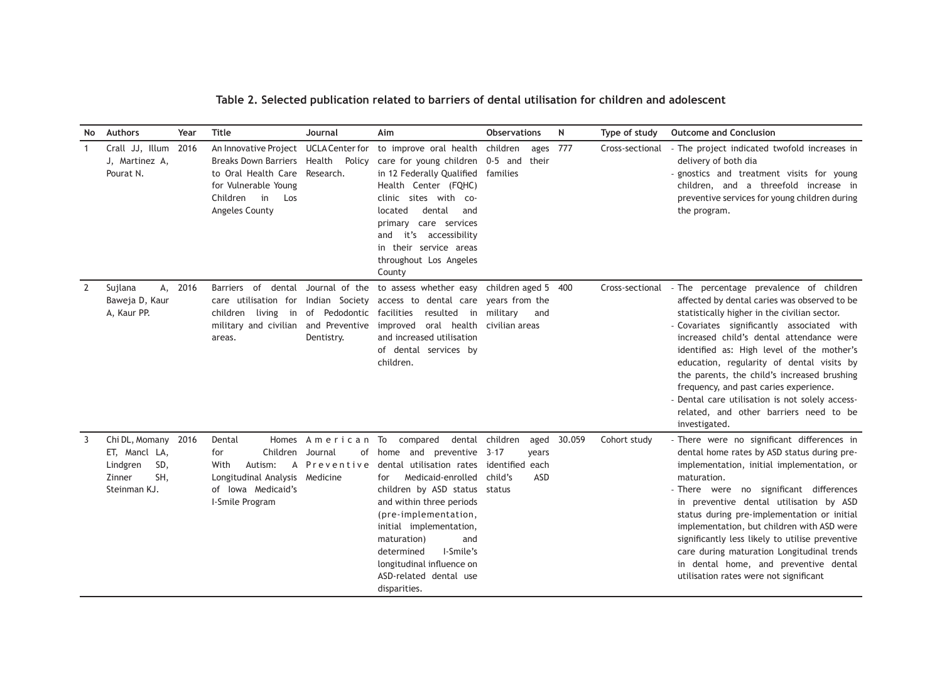| No.            | <b>Authors</b>                                                                           | Year | Title                                                                                                                                                          | Journal                                                                   | Aim                                                                                                                                                                                                                                                                                                                                          | <b>Observations</b>                                                        | $\mathsf{N}$ | Type of study   | <b>Outcome and Conclusion</b>                                                                                                                                                                                                                                                                                                                                                                                                                                                                                                      |
|----------------|------------------------------------------------------------------------------------------|------|----------------------------------------------------------------------------------------------------------------------------------------------------------------|---------------------------------------------------------------------------|----------------------------------------------------------------------------------------------------------------------------------------------------------------------------------------------------------------------------------------------------------------------------------------------------------------------------------------------|----------------------------------------------------------------------------|--------------|-----------------|------------------------------------------------------------------------------------------------------------------------------------------------------------------------------------------------------------------------------------------------------------------------------------------------------------------------------------------------------------------------------------------------------------------------------------------------------------------------------------------------------------------------------------|
| $\mathbf{1}$   | Crall JJ, Illum<br>J, Martinez A,<br>Pourat N.                                           | 2016 | An Innovative Project UCLA Center for<br>Breaks Down Barriers Health<br>to Oral Health Care<br>for Vulnerable Young<br>Children<br>in<br>Los<br>Angeles County | Policy<br>Research.                                                       | to improve oral health<br>care for young children<br>in 12 Federally Qualified<br>Health Center (FQHC)<br>clinic sites with co-<br>dental<br>located<br>and<br>primary care services<br>it's accessibility<br>and<br>in their service areas<br>throughout Los Angeles<br>County                                                              | children<br>ages 777<br>$0-5$ and<br>their<br>families                     |              | Cross-sectional | - The project indicated twofold increases in<br>delivery of both dia<br>- gnostics and treatment visits for young<br>children, and a threefold increase in<br>preventive services for young children during<br>the program.                                                                                                                                                                                                                                                                                                        |
| $\overline{2}$ | Sujlana<br>А,<br>Baweja D, Kaur<br>A, Kaur PP.                                           | 2016 | Barriers of<br>dental<br>care utilisation for<br>children<br>military and civilian and Preventive<br>areas.                                                    | Journal of the<br>Indian Society<br>living in of Pedodontic<br>Dentistry. | to assess whether easy children aged 5<br>access to dental care years from the<br>facilities<br>resulted in<br>oral health<br>improved<br>and increased utilisation<br>of dental services by<br>children.                                                                                                                                    | military<br>and<br>civilian areas                                          | 400          | Cross-sectional | - The percentage prevalence of children<br>affected by dental caries was observed to be<br>statistically higher in the civilian sector.<br>- Covariates significantly associated with<br>increased child's dental attendance were<br>identified as: High level of the mother's<br>education, regularity of dental visits by<br>the parents, the child's increased brushing<br>frequency, and past caries experience.<br>- Dental care utilisation is not solely access-<br>related, and other barriers need to be<br>investigated. |
| 3              | Chi DL, Momany 2016<br>ET, Mancl LA,<br>SD,<br>Lindgren<br>SH,<br>Zinner<br>Steinman KJ. |      | Dental<br>Children<br>for<br>With<br>Autism:<br>Longitudinal Analysis Medicine<br>of Iowa Medicaid's<br>I-Smile Program                                        | Homes American To<br>Journal<br>of<br>A Preventive                        | compared<br>dental<br>and preventive<br>home<br>dental utilisation rates<br>Medicaid-enrolled<br>for<br>children by ASD status status<br>and within three periods<br>(pre-implementation,<br>initial implementation,<br>maturation)<br>and<br>determined<br>I-Smile's<br>longitudinal influence on<br>ASD-related dental use<br>disparities. | children<br>aged<br>$3 - 17$<br>vears<br>identified each<br>child's<br>ASD | 30.059       | Cohort study    | - There were no significant differences in<br>dental home rates by ASD status during pre-<br>implementation, initial implementation, or<br>maturation.<br>- There were no significant differences<br>in preventive dental utilisation by ASD<br>status during pre-implementation or initial<br>implementation, but children with ASD were<br>significantly less likely to utilise preventive<br>care during maturation Longitudinal trends<br>in dental home, and preventive dental<br>utilisation rates were not significant      |

**Table 2. Selected publication related to barriers of dental utilisation for children and adolescent**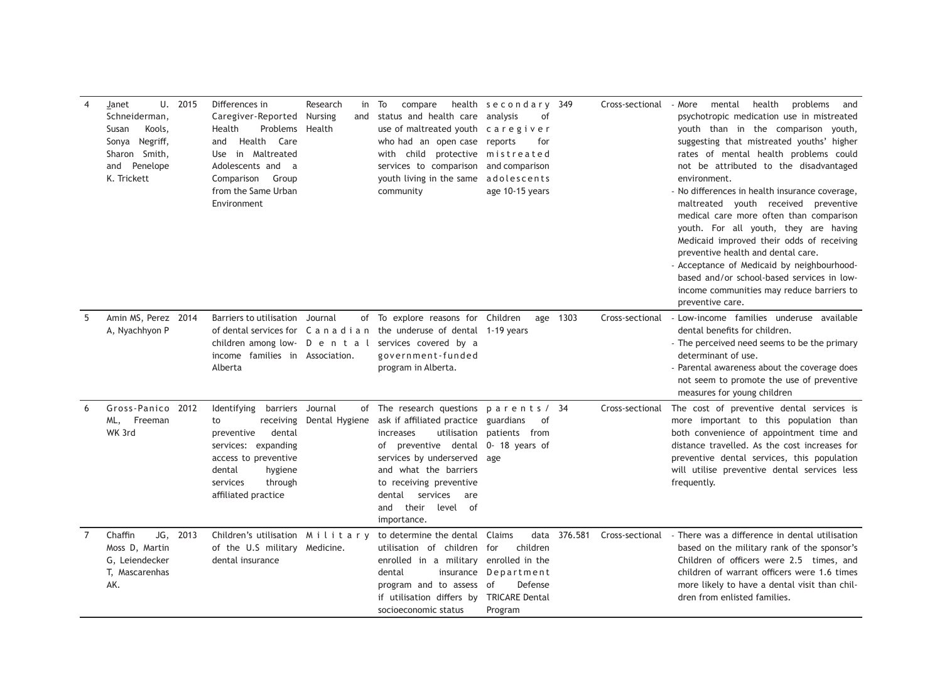| $\overline{4}$ | U. 2015<br>Janet<br>Schneiderman,<br>Kools,<br>Susan<br>Sonya Negriff,<br>Sharon Smith,<br>Penelope<br>and<br>K. Trickett | Differences in<br>Caregiver-Reported Nursing<br>Health<br>Problems Health<br>Health<br>Care<br>and<br>in Maltreated<br>Use<br>Adolescents and a<br>Comparison<br>Group<br>from the Same Urban<br>Environment | Research<br>in<br>and | To<br>compare<br>status and health care<br>use of maltreated youth caregiver<br>who had an open case reports<br>with child protective mistreated<br>services to comparison<br>youth living in the same<br>community                                                                               | health secondary 349<br>analysis<br>οf<br>for<br>and comparison<br>adolescents<br>age 10-15 years |              | Cross-sectional | health<br>problems<br>- More<br>mental<br>and<br>psychotropic medication use in mistreated<br>youth than in the comparison youth,<br>suggesting that mistreated youths' higher<br>rates of mental health problems could<br>not be attributed to the disadvantaged<br>environment.<br>- No differences in health insurance coverage,<br>maltreated youth received preventive<br>medical care more often than comparison<br>youth. For all youth, they are having<br>Medicaid improved their odds of receiving<br>preventive health and dental care.<br>- Acceptance of Medicaid by neighbourhood-<br>based and/or school-based services in low-<br>income communities may reduce barriers to<br>preventive care. |
|----------------|---------------------------------------------------------------------------------------------------------------------------|--------------------------------------------------------------------------------------------------------------------------------------------------------------------------------------------------------------|-----------------------|---------------------------------------------------------------------------------------------------------------------------------------------------------------------------------------------------------------------------------------------------------------------------------------------------|---------------------------------------------------------------------------------------------------|--------------|-----------------|-----------------------------------------------------------------------------------------------------------------------------------------------------------------------------------------------------------------------------------------------------------------------------------------------------------------------------------------------------------------------------------------------------------------------------------------------------------------------------------------------------------------------------------------------------------------------------------------------------------------------------------------------------------------------------------------------------------------|
| 5              | Amin MS, Perez 2014<br>A, Nyachhyon P                                                                                     | Barriers to utilisation<br>children among low- D e n t a l<br>income families in Association.<br>Alberta                                                                                                     | Journal               | of To explore reasons for Children<br>of dental services for C a n a d i a n the underuse of dental 1-19 years<br>services covered by a<br>government-funded<br>program in Alberta.                                                                                                               |                                                                                                   | age 1303     | Cross-sectional | - Low-income families underuse available<br>dental benefits for children.<br>- The perceived need seems to be the primary<br>determinant of use.<br>- Parental awareness about the coverage does<br>not seem to promote the use of preventive<br>measures for young children                                                                                                                                                                                                                                                                                                                                                                                                                                    |
| 6              | Gross-Panico 2012<br>ML, Freeman<br>WK 3rd                                                                                | Identifying barriers Journal<br>receiving<br>to<br>preventive<br>dental<br>services: expanding<br>access to preventive<br>dental<br>hygiene<br>services<br>through<br>affiliated practice                    | Dental Hygiene        | of The research questions parents / 34<br>ask if affiliated practice<br>utilisation<br>increases<br>preventive dental 0- 18 years of<br>of<br>services by underserved<br>and what the barriers<br>to receiving preventive<br>services<br>dental<br>are<br>their<br>level of<br>and<br>importance. | guardians<br>0f<br>patients from<br>age                                                           |              | Cross-sectional | The cost of preventive dental services is<br>more important to this population than<br>both convenience of appointment time and<br>distance travelled. As the cost increases for<br>preventive dental services, this population<br>will utilise preventive dental services less<br>frequently.                                                                                                                                                                                                                                                                                                                                                                                                                  |
| 7              | Chaffin<br>JG, 2013<br>Moss D, Martin<br>G, Leiendecker<br>T, Mascarenhas<br>AK.                                          | Children's utilisation Military<br>of the U.S military Medicine.<br>dental insurance                                                                                                                         |                       | to determine the dental<br>utilisation of children for<br>enrolled in a military enrolled in the<br>dental<br>insurance<br>program and to assess of<br>if utilisation differs by<br>socioeconomic status                                                                                          | Claims<br>children<br>Department<br>Defense<br><b>TRICARE Dental</b><br>Program                   | data 376.581 | Cross-sectional | - There was a difference in dental utilisation<br>based on the military rank of the sponsor's<br>Children of officers were 2.5 times, and<br>children of warrant officers were 1.6 times<br>more likely to have a dental visit than chil-<br>dren from enlisted families.                                                                                                                                                                                                                                                                                                                                                                                                                                       |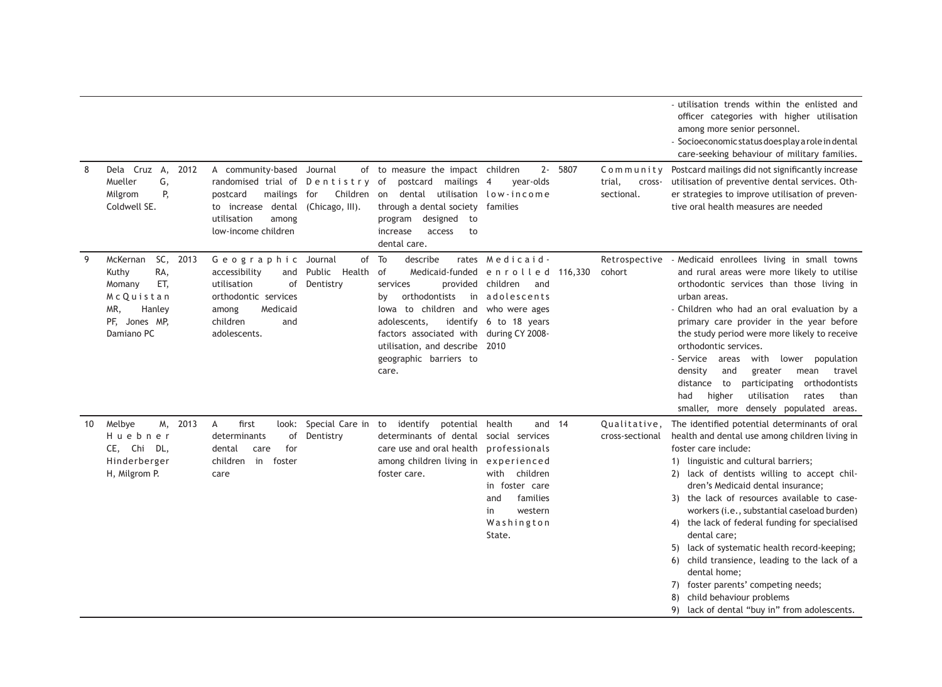|    |                                                                                                                    |                                                                                                                                                                |                                                                                                                                                                                                                                                                             |                                                                                                                           |                                             | - utilisation trends within the enlisted and<br>officer categories with higher utilisation<br>among more senior personnel.<br>- Socioeconomic status does play a role in dental<br>care-seeking behaviour of military families.                                                                                                                                                                                                                                                                                                                                                                                                                                  |
|----|--------------------------------------------------------------------------------------------------------------------|----------------------------------------------------------------------------------------------------------------------------------------------------------------|-----------------------------------------------------------------------------------------------------------------------------------------------------------------------------------------------------------------------------------------------------------------------------|---------------------------------------------------------------------------------------------------------------------------|---------------------------------------------|------------------------------------------------------------------------------------------------------------------------------------------------------------------------------------------------------------------------------------------------------------------------------------------------------------------------------------------------------------------------------------------------------------------------------------------------------------------------------------------------------------------------------------------------------------------------------------------------------------------------------------------------------------------|
| 8  | Dela Cruz A,<br>2012<br>Mueller<br>G,<br>P,<br>Milgrom<br>Coldwell SE.                                             | A community-based Journal<br>randomised trial of Dentistry of<br>mailings for<br>postcard<br>to increase dental<br>utilisation<br>among<br>low-income children | of to measure the impact children<br>postcard<br>mailings 4<br>Children<br>dental<br>on<br>(Chicago, III).<br>through a dental society families<br>program designed to<br>increase<br>access<br>to<br>dental care.                                                          | 2- 5807<br>year-olds<br>utilisation low-income                                                                            | Community<br>trial,<br>cross-<br>sectional. | Postcard mailings did not significantly increase<br>utilisation of preventive dental services. Oth-<br>er strategies to improve utilisation of preven-<br>tive oral health measures are needed                                                                                                                                                                                                                                                                                                                                                                                                                                                                   |
| 9  | SC, 2013<br>McKernan<br>RA,<br>Kuthy<br>ET,<br>Momany<br>McQuistan<br>MR,<br>Hanley<br>PF, Jones MP,<br>Damiano PC | Geographic Journal<br>accessibility<br>and<br>utilisation<br>Dentistry<br>of<br>orthodontic services<br>Medicaid<br>among<br>children<br>and<br>adolescents.   | To<br>of<br>describe<br>Public Health<br>of<br>Medicaid-funded<br>services<br>provided<br>orthodontists<br>in<br>by<br>lowa to children and<br>adolescents,<br>factors associated with during CY 2008-<br>utilisation, and describe 2010<br>geographic barriers to<br>care. | rates Medicaid-<br>enrolled<br>116,330<br>children<br>and<br>adolescents<br>who were ages<br>identify 6 to 18 years       | Retrospective<br>cohort                     | - Medicaid enrollees living in small towns<br>and rural areas were more likely to utilise<br>orthodontic services than those living in<br>urban areas.<br>- Children who had an oral evaluation by a<br>primary care provider in the year before<br>the study period were more likely to receive<br>orthodontic services.<br>- Service areas<br>with<br>lower population<br>density<br>greater<br>mean<br>travel<br>and<br>orthodontists<br>distance to<br>participating<br>had<br>higher<br>utilisation<br>rates<br>than<br>smaller, more densely populated areas.                                                                                              |
| 10 | M, 2013<br>Melbye<br>Huebner<br>CE, Chi DL,<br>Hinderberger<br>H, Milgrom P.                                       | first<br>A<br>look:<br>determinants<br>of<br>for<br>dental<br>care<br>in<br>children<br>foster<br>care                                                         | Special Care in<br>to identify<br>potential health<br>Dentistry<br>determinants of dental social services<br>care use and oral health<br>among children living in experienced<br>foster care.                                                                               | and 14<br>professionals<br>with<br>children<br>in foster care<br>families<br>and<br>western<br>in<br>Washington<br>State. | Qualitative,<br>cross-sectional             | The identified potential determinants of oral<br>health and dental use among children living in<br>foster care include:<br>1) linguistic and cultural barriers;<br>2) lack of dentists willing to accept chil-<br>dren's Medicaid dental insurance:<br>3) the lack of resources available to case-<br>workers (i.e., substantial caseload burden)<br>4) the lack of federal funding for specialised<br>dental care;<br>5) lack of systematic health record-keeping;<br>child transience, leading to the lack of a<br>6)<br>dental home;<br>7) foster parents' competing needs;<br>child behaviour problems<br>8)<br>9) lack of dental "buy in" from adolescents. |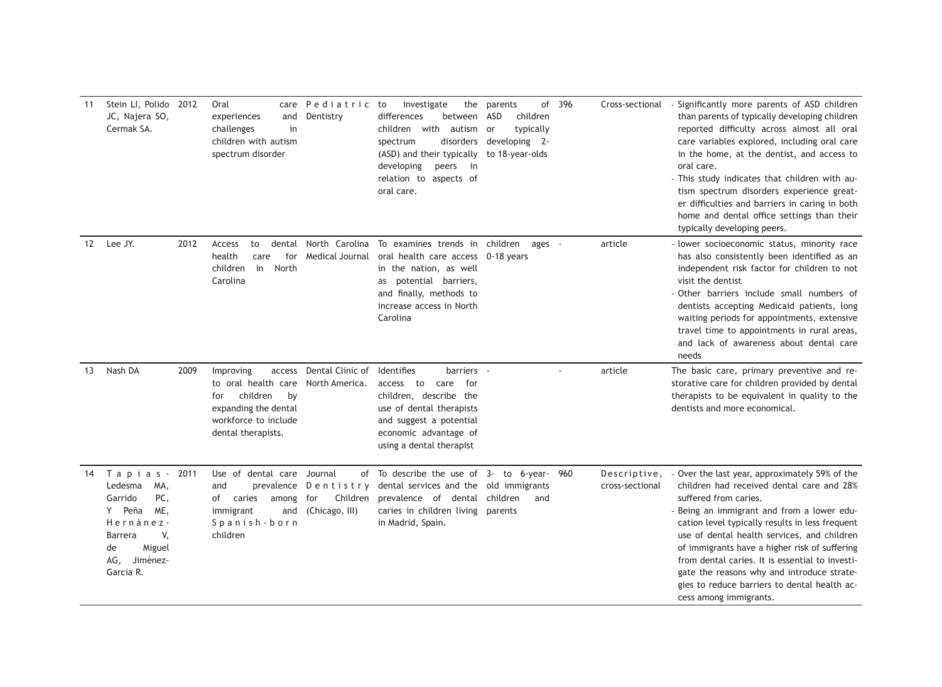| 11 | Stein LI, Polido 2012<br>JC, Najera SO,<br>Cermak SA.                                                                                         |      | Oral<br>care<br>experiences<br>and<br>challenges<br>in<br>children with autism<br>spectrum disorder                                       | Pediatric to<br>Dentistry                                                  | the<br>investigate<br>differences<br>between<br>children with<br>autism<br>disorders<br>spectrum<br>(ASD) and their typically<br>developing<br>peers in<br>relation to aspects of<br>oral care. | of<br>parents<br>ASD<br>children<br>typically<br>- or<br>developing 2-<br>to 18-year-olds | 396 | Cross-sectional                 | - Significantly more parents of ASD children<br>than parents of typically developing children<br>reported difficulty across almost all oral<br>care variables explored, including oral care<br>in the home, at the dentist, and access to<br>oral care.<br>- This study indicates that children with au-<br>tism spectrum disorders experience great-<br>er difficulties and barriers in caring in both<br>home and dental office settings than their<br>typically developing peers.             |
|----|-----------------------------------------------------------------------------------------------------------------------------------------------|------|-------------------------------------------------------------------------------------------------------------------------------------------|----------------------------------------------------------------------------|-------------------------------------------------------------------------------------------------------------------------------------------------------------------------------------------------|-------------------------------------------------------------------------------------------|-----|---------------------------------|--------------------------------------------------------------------------------------------------------------------------------------------------------------------------------------------------------------------------------------------------------------------------------------------------------------------------------------------------------------------------------------------------------------------------------------------------------------------------------------------------|
| 12 | Lee JY.                                                                                                                                       | 2012 | Access<br>to<br>dental<br>health<br>care<br>for<br>children<br>in<br>North<br>Carolina                                                    | North Carolina<br>Medical Journal                                          | To examines trends in children<br>oral health care access 0-18 years<br>in the nation, as well<br>as potential barriers,<br>and finally, methods to<br>increase access in North<br>Carolina     | ages -                                                                                    |     | article                         | - lower socioeconomic status, minority race<br>has also consistently been identified as an<br>independent risk factor for children to not<br>visit the dentist<br>- Other barriers include small numbers of<br>dentists accepting Medicaid patients, long<br>waiting periods for appointments, extensive<br>travel time to appointments in rural areas,<br>and lack of awareness about dental care<br>needs                                                                                      |
| 13 | Nash DA                                                                                                                                       | 2009 | Improving<br>access<br>to oral health care<br>children<br>by<br>for<br>expanding the dental<br>workforce to include<br>dental therapists. | Dental Clinic of<br>North America.                                         | Identifies<br>barriers -<br>access to care<br>for<br>children, describe the<br>use of dental therapists<br>and suggest a potential<br>economic advantage of<br>using a dental therapist         |                                                                                           |     | article                         | The basic care, primary preventive and re-<br>storative care for children provided by dental<br>therapists to be equivalent in quality to the<br>dentists and more economical.                                                                                                                                                                                                                                                                                                                   |
| 14 | Tapias-<br>Ledesma<br>MA,<br>PC,<br>Garrido<br>Peña<br>ME,<br>Y<br>Hernánez-<br>V,<br>Barrera<br>Miguel<br>de<br>Jiménez-<br>AG,<br>Garcia R. | 2011 | Use of dental care<br>and<br>of<br>caries<br>among<br>immigrant<br>and<br>Spanish-born<br>children                                        | Journal<br>of<br>prevalence Dentistry<br>for<br>Children<br>(Chicago, III) | To describe the use of $3-$ to 6-year-<br>dental services and the old immigrants<br>prevalence of dental children<br>caries in children living<br>in Madrid, Spain.                             | and<br>parents                                                                            | 960 | Descriptive,<br>cross-sectional | - Over the last year, approximately 59% of the<br>children had received dental care and 28%<br>suffered from caries.<br>- Being an immigrant and from a lower edu-<br>cation level typically results in less frequent<br>use of dental health services, and children<br>of immigrants have a higher risk of suffering<br>from dental caries. It is essential to investi-<br>gate the reasons why and introduce strate-<br>gies to reduce barriers to dental health ac-<br>cess among immigrants. |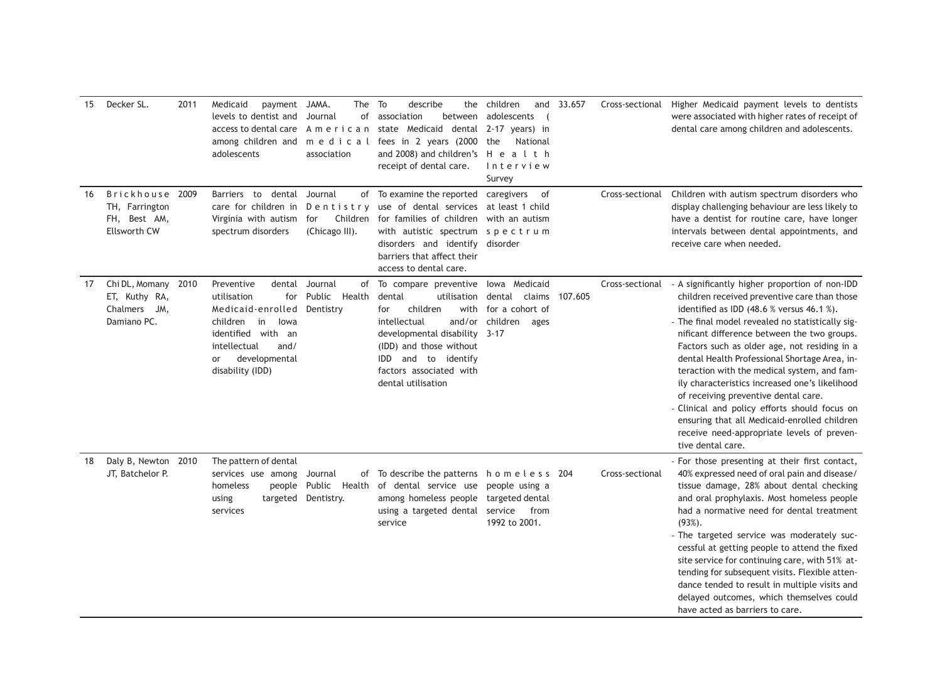| 15 | Decker SL.                                                               | 2011 | Medicaid<br>payment JAMA.<br>levels to dentist and<br>access to dental care<br>among children and<br>adolescents                                                                   | The To<br>Journal<br>American<br>association   | describe<br>of association<br>between<br>state Medicaid dental 2-17 years) in<br>medical fees in 2 years (2000<br>and 2008) and children's H e a l t h<br>receipt of dental care.                                                                            | the children<br>adolescents<br>the<br>National<br>Interview<br>Survey | and 33.657 | Cross-sectional | Higher Medicaid payment levels to dentists<br>were associated with higher rates of receipt of<br>dental care among children and adolescents.                                                                                                                                                                                                                                                                                                                                                                                                                                                                                                                                 |
|----|--------------------------------------------------------------------------|------|------------------------------------------------------------------------------------------------------------------------------------------------------------------------------------|------------------------------------------------|--------------------------------------------------------------------------------------------------------------------------------------------------------------------------------------------------------------------------------------------------------------|-----------------------------------------------------------------------|------------|-----------------|------------------------------------------------------------------------------------------------------------------------------------------------------------------------------------------------------------------------------------------------------------------------------------------------------------------------------------------------------------------------------------------------------------------------------------------------------------------------------------------------------------------------------------------------------------------------------------------------------------------------------------------------------------------------------|
| 16 | Brickhouse 2009<br>TH, Farrington<br>FH, Best AM,<br><b>Ellsworth CW</b> |      | Barriers to dental Journal<br>care for children in<br>Virginia with autism<br>spectrum disorders                                                                                   | Dentistry<br>Children<br>for<br>(Chicago III). | of To examine the reported caregivers of<br>use of dental services at least 1 child<br>for families of children with an autism<br>with autistic spectrum spectrum<br>disorders and identify disorder<br>barriers that affect their<br>access to dental care. |                                                                       |            | Cross-sectional | Children with autism spectrum disorders who<br>display challenging behaviour are less likely to<br>have a dentist for routine care, have longer<br>intervals between dental appointments, and<br>receive care when needed.                                                                                                                                                                                                                                                                                                                                                                                                                                                   |
| 17 | Chi DL, Momany<br>ET, Kuthy RA,<br>JM,<br>Chalmers<br>Damiano PC.        | 2010 | Preventive<br>dental<br>utilisation<br>for<br>Medicaid-enrolled<br>children<br>lowa<br>in<br>identified with an<br>intellectual<br>and/<br>developmental<br>or<br>disability (IDD) | Journal<br>Public Health<br>Dentistry          | of To compare preventive<br>dental<br>utilisation dental<br>children<br>for<br>and/or<br>intellectual<br>developmental disability 3-17<br>(IDD) and those without<br>and to identify<br><b>IDD</b><br>factors associated with<br>dental utilisation          | lowa Medicaid<br>claims<br>with for a cohort of<br>children ages      | 107.605    |                 | Cross-sectional - A significantly higher proportion of non-IDD<br>children received preventive care than those<br>identified as IDD (48.6 % versus 46.1 %).<br>- The final model revealed no statistically sig-<br>nificant difference between the two groups.<br>Factors such as older age, not residing in a<br>dental Health Professional Shortage Area, in-<br>teraction with the medical system, and fam-<br>ily characteristics increased one's likelihood<br>of receiving preventive dental care.<br>- Clinical and policy efforts should focus on<br>ensuring that all Medicaid-enrolled children<br>receive need-appropriate levels of preven-<br>tive dental care. |
| 18 | Daly B, Newton<br>JT, Batchelor P.                                       | 2010 | The pattern of dental<br>services use among<br>homeless<br>using<br>services                                                                                                       | Journal<br>targeted Dentistry.                 | of To describe the patterns homeless 204<br>people Public Health of dental service use people using a<br>among homeless people targeted dental<br>using a targeted dental service<br>service                                                                 | from<br>1992 to 2001.                                                 |            | Cross-sectional | - For those presenting at their first contact,<br>40% expressed need of oral pain and disease/<br>tissue damage, 28% about dental checking<br>and oral prophylaxis. Most homeless people<br>had a normative need for dental treatment<br>$(93%)$ .<br>- The targeted service was moderately suc-<br>cessful at getting people to attend the fixed<br>site service for continuing care, with 51% at-<br>tending for subsequent visits. Flexible atten-<br>dance tended to result in multiple visits and<br>delayed outcomes, which themselves could<br>have acted as barriers to care.                                                                                        |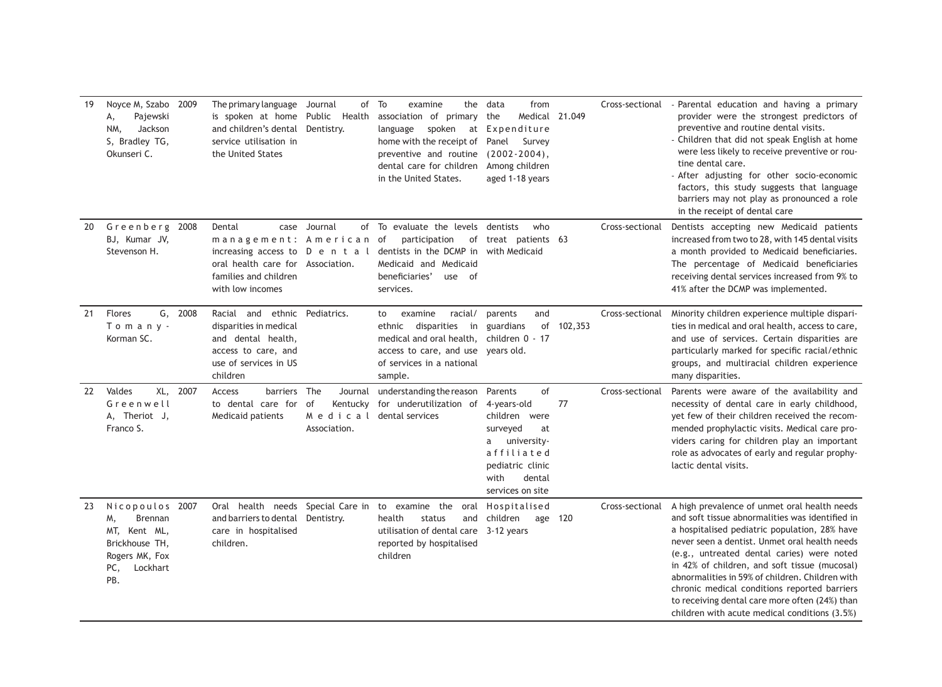| 19 | Noyce M, Szabo<br>Pajewski<br>А,<br>Jackson<br>NM,<br>S, Bradley TG,<br>Okunseri C.                                   | 2009 | The primary language Journal<br>is spoken at home Public Health<br>and children's dental Dentistry.<br>service utilisation in<br>the United States             |                                                                            | of To<br>examine<br>association of primary the<br>language<br>home with the receipt of Panel Survey<br>preventive and routine (2002-2004),<br>dental care for children Among children<br>in the United States. | from<br>the data<br>Medical 21.049<br>spoken at Expenditure<br>aged 1-18 years                                                                           |         | Cross-sectional | - Parental education and having a primary<br>provider were the strongest predictors of<br>preventive and routine dental visits.<br>- Children that did not speak English at home<br>were less likely to receive preventive or rou-<br>tine dental care.<br>- After adjusting for other socio-economic<br>factors, this study suggests that language<br>barriers may not play as pronounced a role<br>in the receipt of dental care                                                                     |
|----|-----------------------------------------------------------------------------------------------------------------------|------|----------------------------------------------------------------------------------------------------------------------------------------------------------------|----------------------------------------------------------------------------|----------------------------------------------------------------------------------------------------------------------------------------------------------------------------------------------------------------|----------------------------------------------------------------------------------------------------------------------------------------------------------|---------|-----------------|--------------------------------------------------------------------------------------------------------------------------------------------------------------------------------------------------------------------------------------------------------------------------------------------------------------------------------------------------------------------------------------------------------------------------------------------------------------------------------------------------------|
| 20 | Greenberg<br>BJ, Kumar JV,<br>Stevenson H.                                                                            | 2008 | Dental<br>case<br>management: American<br>increasing access to $D$ e n t a l<br>oral health care for Association.<br>families and children<br>with low incomes | Journal<br>of                                                              | To evaluate the levels dentists<br>participation of treat patients 63<br>of<br>dentists in the DCMP in with Medicaid<br>Medicaid and Medicaid<br>beneficiaries'<br>use of<br>services.                         | who                                                                                                                                                      |         | Cross-sectional | Dentists accepting new Medicaid patients<br>increased from two to 28, with 145 dental visits<br>a month provided to Medicaid beneficiaries.<br>The percentage of Medicaid beneficiaries<br>receiving dental services increased from 9% to<br>41% after the DCMP was implemented.                                                                                                                                                                                                                       |
| 21 | Flores<br>G,<br>Tomany-<br>Korman SC.                                                                                 | 2008 | Racial and ethnic Pediatrics.<br>disparities in medical<br>and dental health,<br>access to care, and<br>use of services in US<br>children                      |                                                                            | racial/<br>examine<br>to<br>ethnic disparities<br>in<br>medical and oral health, children 0 - 17<br>access to care, and use years old.<br>of services in a national<br>sample.                                 | and<br>parents<br>guardians<br>of                                                                                                                        | 102,353 | Cross-sectional | Minority children experience multiple dispari-<br>ties in medical and oral health, access to care,<br>and use of services. Certain disparities are<br>particularly marked for specific racial/ethnic<br>groups, and multiracial children experience<br>many disparities.                                                                                                                                                                                                                               |
| 22 | Valdes<br>XL,<br>Greenwell<br>A, Theriot J,<br>Franco S.                                                              | 2007 | barriers The<br>Access<br>to dental care for<br>Medicaid patients                                                                                              | Journal<br>of<br>Kentucky<br>M e d i c a l dental services<br>Association. | understanding the reason<br>for underutilization of                                                                                                                                                            | of<br>Parents<br>4-years-old<br>children were<br>surveyed<br>at<br>a university-<br>affiliated<br>pediatric clinic<br>with<br>dental<br>services on site | 77      | Cross-sectional | Parents were aware of the availability and<br>necessity of dental care in early childhood,<br>yet few of their children received the recom-<br>mended prophylactic visits. Medical care pro-<br>viders caring for children play an important<br>role as advocates of early and regular prophy-<br>lactic dental visits.                                                                                                                                                                                |
| 23 | Nicopoulos 2007<br><b>Brennan</b><br>M.<br>MT, Kent ML,<br>Brickhouse TH,<br>Rogers MK, Fox<br>Lockhart<br>PC,<br>PB. |      | Oral health needs Special Care in<br>and barriers to dental Dentistry.<br>care in hospitalised<br>children.                                                    |                                                                            | to examine the oral Hospitalised<br>health<br>status<br>utilisation of dental care 3-12 years<br>reported by hospitalised<br>children                                                                          | and children<br>age 120                                                                                                                                  |         | Cross-sectional | A high prevalence of unmet oral health needs<br>and soft tissue abnormalities was identified in<br>a hospitalised pediatric population, 28% have<br>never seen a dentist. Unmet oral health needs<br>(e.g., untreated dental caries) were noted<br>in 42% of children, and soft tissue (mucosal)<br>abnormalities in 59% of children. Children with<br>chronic medical conditions reported barriers<br>to receiving dental care more often (24%) than<br>children with acute medical conditions (3.5%) |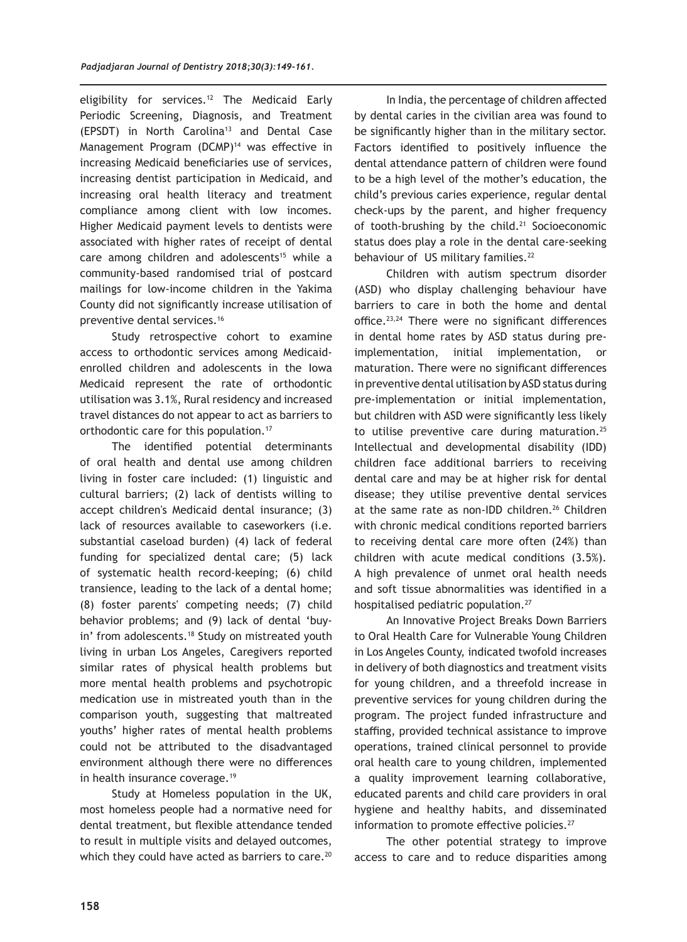eligibility for services.<sup>12</sup> The Medicaid Early Periodic Screening, Diagnosis, and Treatment (EPSDT) in North Carolina<sup>13</sup> and Dental Case Management Program  $(DAMP)^{14}$  was effective in increasing Medicaid beneficiaries use of services, increasing dentist participation in Medicaid, and increasing oral health literacy and treatment compliance among client with low incomes. Higher Medicaid payment levels to dentists were associated with higher rates of receipt of dental care among children and adolescents<sup>15</sup> while a community-based randomised trial of postcard mailings for low-income children in the Yakima County did not significantly increase utilisation of preventive dental services.<sup>16</sup>

Study retrospective cohort to examine access to orthodontic services among Medicaidenrolled children and adolescents in the Iowa Medicaid represent the rate of orthodontic utilisation was 3.1%, Rural residency and increased travel distances do not appear to act as barriers to orthodontic care for this population.17

The identified potential determinants of oral health and dental use among children living in foster care included: (1) linguistic and cultural barriers; (2) lack of dentists willing to accept children's Medicaid dental insurance; (3) lack of resources available to caseworkers (i.e. substantial caseload burden) (4) lack of federal funding for specialized dental care; (5) lack of systematic health record-keeping; (6) child transience, leading to the lack of a dental home; (8) foster parents' competing needs; (7) child behavior problems; and (9) lack of dental 'buyin' from adolescents.<sup>18</sup> Study on mistreated youth living in urban Los Angeles, Caregivers reported similar rates of physical health problems but more mental health problems and psychotropic medication use in mistreated youth than in the comparison youth, suggesting that maltreated youths' higher rates of mental health problems could not be attributed to the disadvantaged environment although there were no differences in health insurance coverage.<sup>19</sup>

Study at Homeless population in the UK, most homeless people had a normative need for dental treatment, but flexible attendance tended to result in multiple visits and delayed outcomes, which they could have acted as barriers to care.<sup>20</sup>

In India, the percentage of children affected by dental caries in the civilian area was found to be significantly higher than in the military sector. Factors identified to positively influence the dental attendance pattern of children were found to be a high level of the mother's education, the child's previous caries experience, regular dental check-ups by the parent, and higher frequency of tooth-brushing by the child. $21$  Socioeconomic status does play a role in the dental care-seeking behaviour of US military families.<sup>22</sup>

Children with autism spectrum disorder (ASD) who display challenging behaviour have barriers to care in both the home and dental office. $23,24$  There were no significant differences in dental home rates by ASD status during preimplementation, initial implementation, or maturation. There were no significant differences in preventive dental utilisation by ASD status during pre-implementation or initial implementation, but children with ASD were significantly less likely to utilise preventive care during maturation.<sup>25</sup> Intellectual and developmental disability (IDD) children face additional barriers to receiving dental care and may be at higher risk for dental disease; they utilise preventive dental services at the same rate as non-IDD children.<sup>26</sup> Children with chronic medical conditions reported barriers to receiving dental care more often (24%) than children with acute medical conditions (3.5%). A high prevalence of unmet oral health needs and soft tissue abnormalities was identified in a hospitalised pediatric population.<sup>27</sup>

An Innovative Project Breaks Down Barriers to Oral Health Care for Vulnerable Young Children in Los Angeles County, indicated twofold increases in delivery of both diagnostics and treatment visits for young children, and a threefold increase in preventive services for young children during the program. The project funded infrastructure and staffing, provided technical assistance to improve operations, trained clinical personnel to provide oral health care to young children, implemented a quality improvement learning collaborative, educated parents and child care providers in oral hygiene and healthy habits, and disseminated information to promote effective policies.<sup>27</sup>

The other potential strategy to improve access to care and to reduce disparities among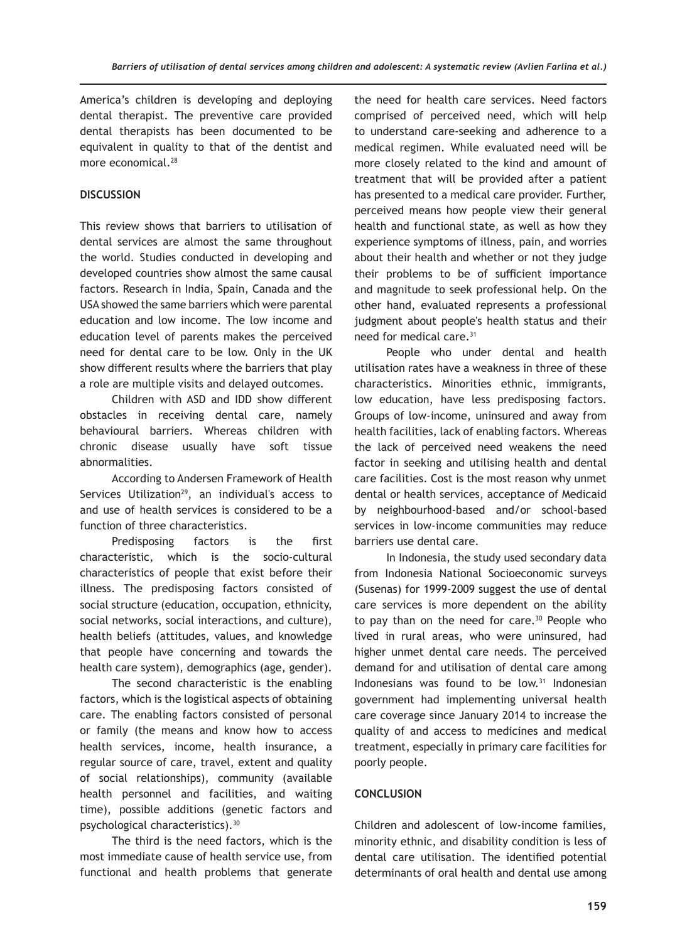America's children is developing and deploying dental therapist. The preventive care provided dental therapists has been documented to be equivalent in quality to that of the dentist and more economical.<sup>28</sup>

# **DISCUSSION**

This review shows that barriers to utilisation of dental services are almost the same throughout the world. Studies conducted in developing and developed countries show almost the same causal factors. Research in India, Spain, Canada and the USA showed the same barriers which were parental education and low income. The low income and education level of parents makes the perceived need for dental care to be low. Only in the UK show different results where the barriers that play a role are multiple visits and delayed outcomes.

Children with ASD and IDD show different obstacles in receiving dental care, namely behavioural barriers. Whereas children with chronic disease usually have soft tissue abnormalities.

According to Andersen Framework of Health Services Utilization<sup>29</sup>, an individual's access to and use of health services is considered to be a function of three characteristics.

Predisposing factors is the first characteristic, which is the socio-cultural characteristics of people that exist before their illness. The predisposing factors consisted of social structure (education, occupation, ethnicity, social networks, social interactions, and culture), health beliefs (attitudes, values, and knowledge that people have concerning and towards the health care system), demographics (age, gender).

The second characteristic is the enabling factors, which is the logistical aspects of obtaining care. The enabling factors consisted of personal or family (the means and know how to access health services, income, health insurance, a regular source of care, travel, extent and quality of social relationships), community (available health personnel and facilities, and waiting time), possible additions (genetic factors and psychological characteristics).30

The third is the need factors, which is the most immediate cause of health service use, from functional and health problems that generate

the need for health care services. Need factors comprised of perceived need, which will help to understand care-seeking and adherence to a medical regimen. While evaluated need will be more closely related to the kind and amount of treatment that will be provided after a patient has presented to a medical care provider. Further, perceived means how people view their general health and functional state, as well as how they experience symptoms of illness, pain, and worries about their health and whether or not they judge their problems to be of sufficient importance and magnitude to seek professional help. On the other hand, evaluated represents a professional judgment about people's health status and their need for medical care.<sup>31</sup>

People who under dental and health utilisation rates have a weakness in three of these characteristics. Minorities ethnic, immigrants, low education, have less predisposing factors. Groups of low-income, uninsured and away from health facilities, lack of enabling factors. Whereas the lack of perceived need weakens the need factor in seeking and utilising health and dental care facilities. Cost is the most reason why unmet dental or health services, acceptance of Medicaid by neighbourhood-based and/or school-based services in low-income communities may reduce barriers use dental care.

In Indonesia, the study used secondary data from Indonesia National Socioeconomic surveys (Susenas) for 1999-2009 suggest the use of dental care services is more dependent on the ability to pay than on the need for care. $30$  People who lived in rural areas, who were uninsured, had higher unmet dental care needs. The perceived demand for and utilisation of dental care among Indonesians was found to be low.<sup>31</sup> Indonesian government had implementing universal health care coverage since January 2014 to increase the quality of and access to medicines and medical treatment, especially in primary care facilities for poorly people.

# **CONCLUSION**

Children and adolescent of low-income families, minority ethnic, and disability condition is less of dental care utilisation. The identified potential determinants of oral health and dental use among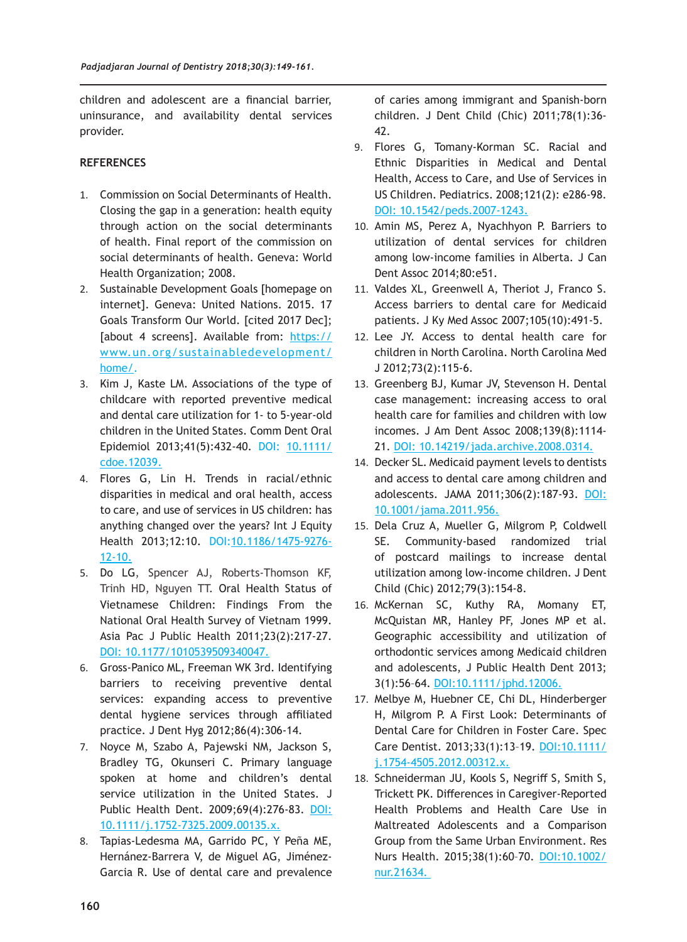children and adolescent are a financial barrier, uninsurance, and availability dental services provider.

# **REFERENCES**

- 1. Commission on Social Determinants of Health. Closing the gap in a generation: health equity through action on the social determinants of health. Final report of the commission on social determinants of health. Geneva: World Health Organization; 2008.
- 2. Sustainable Development Goals [homepage on internet]. Geneva: United Nations. 2015. 17 Goals Transform Our World. [cited 2017 Dec]; [about 4 screens]. Available from: https:// www.un.org/sustainabledevelopment/ home/.
- 3. Kim J, Kaste LM. Associations of the type of childcare with reported preventive medical and dental care utilization for 1- to 5-year-old children in the United States. Comm Dent Oral Epidemiol 2013;41(5):432-40. DOI: 10.1111/ cdoe.12039.
- 4. Flores G, Lin H. Trends in racial/ethnic disparities in medical and oral health, access to care, and use of services in US children: has anything changed over the years? Int J Equity Health 2013;12:10. DOI:10.1186/1475-9276- 12-10.
- 5. Do LG, Spencer AJ, Roberts-Thomson KF, Trinh HD, Nguyen TT. Oral Health Status of Vietnamese Children: Findings From the National Oral Health Survey of Vietnam 1999. Asia Pac J Public Health 2011;23(2):217-27. DOI: 10.1177/1010539509340047.
- 6. Gross-Panico ML, Freeman WK 3rd. Identifying barriers to receiving preventive dental services: expanding access to preventive dental hygiene services through affiliated practice. J Dent Hyg 2012;86(4):306-14.
- 7. Noyce M, Szabo A, Pajewski NM, Jackson S, Bradley TG, Okunseri C. Primary language spoken at home and children's dental service utilization in the United States. J Public Health Dent. 2009;69(4):276-83. DOI: 10.1111/j.1752-7325.2009.00135.x.
- 8. Tapias-Ledesma MA, Garrido PC, Y Peña ME, Hernánez-Barrera V, de Miguel AG, Jiménez-Garcia R. Use of dental care and prevalence

of caries among immigrant and Spanish-born children. J Dent Child (Chic) 2011;78(1):36- 42.

- 9. Flores G, Tomany-Korman SC. Racial and Ethnic Disparities in Medical and Dental Health, Access to Care, and Use of Services in US Children. Pediatrics. 2008;121(2): e286-98. DOI: 10.1542/peds.2007-1243.
- 10. Amin MS, Perez A, Nyachhyon P. Barriers to utilization of dental services for children among low-income families in Alberta. J Can Dent Assoc 2014;80:e51.
- 11. Valdes XL, Greenwell A, Theriot J, Franco S. Access barriers to dental care for Medicaid patients. J Ky Med Assoc 2007;105(10):491-5.
- 12. Lee JY. Access to dental health care for children in North Carolina. North Carolina Med J 2012;73(2):115-6.
- 13. Greenberg BJ, Kumar JV, Stevenson H. Dental case management: increasing access to oral health care for families and children with low incomes. J Am Dent Assoc 2008;139(8):1114- 21. DOI: 10.14219/jada.archive.2008.0314.
- 14. Decker SL. Medicaid payment levels to dentists and access to dental care among children and adolescents. JAMA 2011;306(2):187-93. DOI: 10.1001/jama.2011.956.
- 15. Dela Cruz A, Mueller G, Milgrom P, Coldwell SE. Community-based randomized trial of postcard mailings to increase dental utilization among low-income children. J Dent Child (Chic) 2012;79(3):154-8.
- 16. McKernan SC, Kuthy RA, Momany ET, McQuistan MR, Hanley PF, Jones MP et al. Geographic accessibility and utilization of orthodontic services among Medicaid children and adolescents, J Public Health Dent 2013; 3(1):56–64. DOI:10.1111/jphd.12006.
- 17. Melbye M, Huebner CE, Chi DL, Hinderberger H, Milgrom P. A First Look: Determinants of Dental Care for Children in Foster Care. Spec Care Dentist. 2013;33(1):13–19. DOI:10.1111/ j.1754-4505.2012.00312.x.
- 18. Schneiderman JU, Kools S, Negriff S, Smith S, Trickett PK. Differences in Caregiver-Reported Health Problems and Health Care Use in Maltreated Adolescents and a Comparison Group from the Same Urban Environment. Res Nurs Health. 2015;38(1):60-70. DOI:10.1002/ nur.21634.